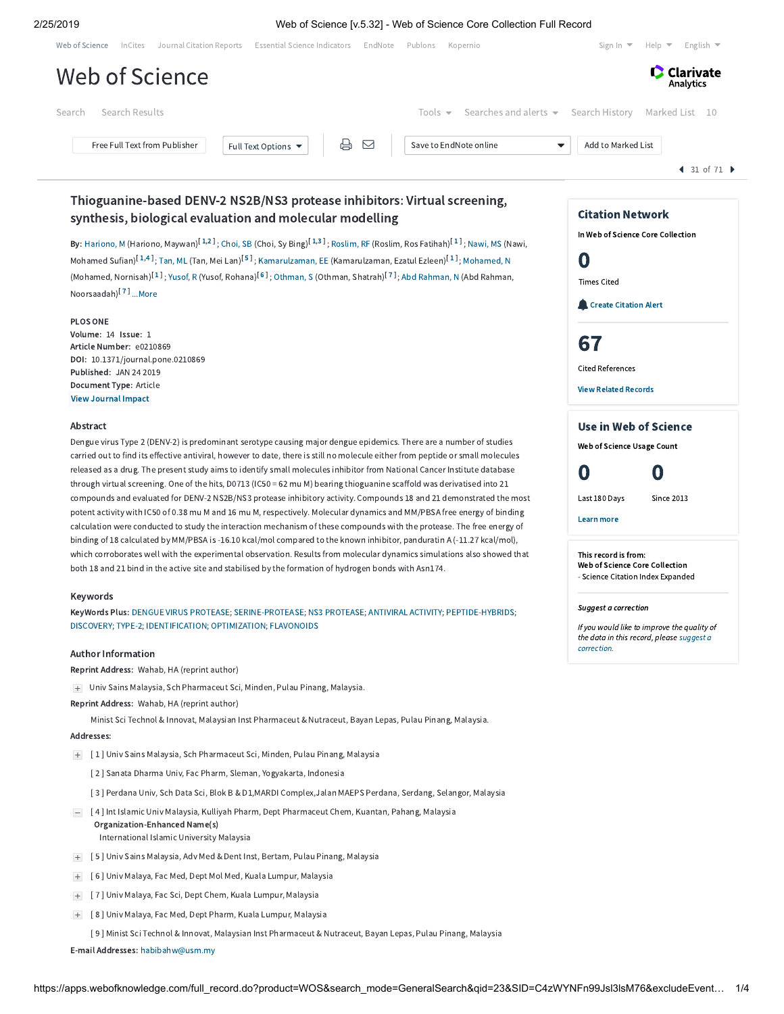## 2/25/2019 Web of Science [v.5.32] - Web of Science Core Collection Full Record

| Journal Citation Reports Essential Science Indicators EndNote Publons<br>Sign In $\blacktriangledown$<br>Kopernio | English $\blacktriangledown$<br>Help $\blacktriangledown$ |
|-------------------------------------------------------------------------------------------------------------------|-----------------------------------------------------------|
|                                                                                                                   | <b>Clarivate</b><br>Analytics                             |
| Tools $\bullet$ Searches and alerts $\bullet$ Search History                                                      | Marked List 10                                            |
| Save to EndNote online<br>▼                                                                                       | $\triangleleft$ 31 of 71 $\triangleright$                 |
|                                                                                                                   | Add to Marked List                                        |

# Thioguanine-based DENV-2 NS2B/NS3 protease inhibitors: Virtual screening, synthesis, biological evaluation and molecular modelling

**By:** [Hariono,](https://apps.webofknowledge.com/OneClickSearch.do?product=WOS&search_mode=OneClickSearch&excludeEventConfig=ExcludeIfFromFullRecPage&colName=WOS&SID=C4zWYNFn99Jsl3lsM76&field=AU&value=Hariono,%20M) M (Hariono, Maywan)<sup>[[1](javascript:sup_focus()[,2](javascript:sup_focus()]</sup> ; [Choi,](https://apps.webofknowledge.com/OneClickSearch.do?product=WOS&search_mode=OneClickSearch&excludeEventConfig=ExcludeIfFromFullRecPage&colName=WOS&SID=C4zWYNFn99Jsl3lsM76&field=AU&value=Choi,%20SB) SB (Choi, Sy Bing)<sup>[1[,3](javascript:sup_focus()]</sup> ; [Roslim,](https://apps.webofknowledge.com/OneClickSearch.do?product=WOS&search_mode=OneClickSearch&excludeEventConfig=ExcludeIfFromFullRecPage&colName=WOS&SID=C4zWYNFn99Jsl3lsM76&field=AU&value=Roslim,%20RF) RF (Roslim, Ros Fatihah)<sup>[1]</sup> ; [Nawi,](https://apps.webofknowledge.com/OneClickSearch.do?product=WOS&search_mode=OneClickSearch&excludeEventConfig=ExcludeIfFromFullRecPage&colName=WOS&SID=C4zWYNFn99Jsl3lsM76&field=AU&value=Nawi,%20MS) MS (Nawi, Mohamed Sufian)<sup>[[1](javascript:sup_focus()[,4](javascript:sup_focus()]</sup>; [Tan,](https://apps.webofknowledge.com/OneClickSearch.do?product=WOS&search_mode=OneClickSearch&excludeEventConfig=ExcludeIfFromFullRecPage&colName=WOS&SID=C4zWYNFn99Jsl3lsM76&field=AU&value=Tan,%20ML) ML (Tan, Mei Lan)<sup>[[5](javascript:sup_focus()]</sup>; [Kamarulzaman,](https://apps.webofknowledge.com/OneClickSearch.do?product=WOS&search_mode=OneClickSearch&excludeEventConfig=ExcludeIfFromFullRecPage&colName=WOS&SID=C4zWYNFn99Jsl3lsM76&field=AU&value=Kamarulzaman,%20EE) EE (Kamarulzaman, Ezatul Ezleen)<sup>[1]</sup>; [Mohamed,](https://apps.webofknowledge.com/OneClickSearch.do?product=WOS&search_mode=OneClickSearch&excludeEventConfig=ExcludeIfFromFullRecPage&colName=WOS&SID=C4zWYNFn99Jsl3lsM76&field=AU&value=Mohamed,%20N) N (Mohamed, Nornisah)<sup>[[1](javascript:sup_focus()]</sup>; [Yusof,](https://apps.webofknowledge.com/OneClickSearch.do?product=WOS&search_mode=OneClickSearch&excludeEventConfig=ExcludeIfFromFullRecPage&colName=WOS&SID=C4zWYNFn99Jsl3lsM76&field=AU&value=Yusof,%20R) R (Yusof, Rohana)<sup>[[6](javascript:sup_focus()]</sup>; [Othman,](https://apps.webofknowledge.com/OneClickSearch.do?product=WOS&search_mode=OneClickSearch&excludeEventConfig=ExcludeIfFromFullRecPage&colName=WOS&SID=C4zWYNFn99Jsl3lsM76&field=AU&value=Othman,%20S) S (Othman, Shatrah)<sup>[[7](javascript:sup_focus()]</sup>; Abd [Rahman,](https://apps.webofknowledge.com/OneClickSearch.do?product=WOS&search_mode=OneClickSearch&excludeEventConfig=ExcludeIfFromFullRecPage&colName=WOS&SID=C4zWYNFn99Jsl3lsM76&field=AU&value=Abd%20Rahman,%20N) N (Abd Rahman, Noorsaadah)<sup>[[7](javascript:sup_focus()]</sup> [...More](javascript:hide_show()

PLOS ONE Volume: 14 Issue: 1 Article Number: e0210869 DOI: 10.1371/journal.pone.0210869 Published: JAN 24 2019 Document Type: Article [View Journal](javascript:;) Impact

### Abstract

Dengue virus Type 2 (DENV-2) is predominant serotype causing major dengue epidemics. There are a number of studies carried out to find its effective antiviral, however to date, there is still no molecule either from peptide or small molecules released as a drug. The present study aims to identify small molecules inhibitor from National Cancer Institute database through virtual screening. One of the hits, D0713 (IC50 = 62 mu M) bearing thioguanine scaffold was derivatised into 21 compounds and evaluated for DENV-2 NS2B/NS3 protease inhibitory activity. Compounds 18 and 21 demonstrated the most potent activity with IC50 of 0.38 mu M and 16 mu M, respectively. Molecular dynamics and MM/PBSA free energy of binding calculation were conducted to study the interaction mechanism of these compounds with the protease. The free energy of binding of 18 calculated by MM/PBSA is -16.10 kcal/mol compared to the known inhibitor, panduratin A (-11.27 kcal/mol), which corroborates well with the experimental observation. Results from molecular dynamics simulations also showed that both 18 and 21 bind in the active site and stabilised by the formation of hydrogen bonds with Asn174.

### Keywords

KeyWords Plus: DENGUE VIRUS [PROTEASE;](https://apps.webofknowledge.com/OneClickSearch.do?product=WOS&search_mode=OneClickSearch&excludeEventConfig=ExcludeIfFromFullRecPage&colName=WOS&SID=C4zWYNFn99Jsl3lsM76&field=TS&value=DENGUE+VIRUS+PROTEASE&uncondQuotes=true) [SERINE-PROTEASE](https://apps.webofknowledge.com/OneClickSearch.do?product=WOS&search_mode=OneClickSearch&excludeEventConfig=ExcludeIfFromFullRecPage&colName=WOS&SID=C4zWYNFn99Jsl3lsM76&field=TS&value=SERINE-PROTEASE&uncondQuotes=true); NS3 [PROTEASE](https://apps.webofknowledge.com/OneClickSearch.do?product=WOS&search_mode=OneClickSearch&excludeEventConfig=ExcludeIfFromFullRecPage&colName=WOS&SID=C4zWYNFn99Jsl3lsM76&field=TS&value=NS3+PROTEASE&uncondQuotes=true); ANTIVIRAL [ACTIVITY;](https://apps.webofknowledge.com/OneClickSearch.do?product=WOS&search_mode=OneClickSearch&excludeEventConfig=ExcludeIfFromFullRecPage&colName=WOS&SID=C4zWYNFn99Jsl3lsM76&field=TS&value=ANTIVIRAL+ACTIVITY&uncondQuotes=true) [PEPTIDE-HYBRIDS](https://apps.webofknowledge.com/OneClickSearch.do?product=WOS&search_mode=OneClickSearch&excludeEventConfig=ExcludeIfFromFullRecPage&colName=WOS&SID=C4zWYNFn99Jsl3lsM76&field=TS&value=PEPTIDE-HYBRIDS&uncondQuotes=true); [DISCOVERY;](https://apps.webofknowledge.com/OneClickSearch.do?product=WOS&search_mode=OneClickSearch&excludeEventConfig=ExcludeIfFromFullRecPage&colName=WOS&SID=C4zWYNFn99Jsl3lsM76&field=TS&value=DISCOVERY&uncondQuotes=true) [TYPE-2](https://apps.webofknowledge.com/OneClickSearch.do?product=WOS&search_mode=OneClickSearch&excludeEventConfig=ExcludeIfFromFullRecPage&colName=WOS&SID=C4zWYNFn99Jsl3lsM76&field=TS&value=TYPE-2&uncondQuotes=true); [IDENTIFICATION;](https://apps.webofknowledge.com/OneClickSearch.do?product=WOS&search_mode=OneClickSearch&excludeEventConfig=ExcludeIfFromFullRecPage&colName=WOS&SID=C4zWYNFn99Jsl3lsM76&field=TS&value=IDENTIFICATION&uncondQuotes=true) [OPTIMIZATION;](https://apps.webofknowledge.com/OneClickSearch.do?product=WOS&search_mode=OneClickSearch&excludeEventConfig=ExcludeIfFromFullRecPage&colName=WOS&SID=C4zWYNFn99Jsl3lsM76&field=TS&value=OPTIMIZATION&uncondQuotes=true) [FLAVONOIDS](https://apps.webofknowledge.com/OneClickSearch.do?product=WOS&search_mode=OneClickSearch&excludeEventConfig=ExcludeIfFromFullRecPage&colName=WOS&SID=C4zWYNFn99Jsl3lsM76&field=TS&value=FLAVONOIDS&uncondQuotes=true)

### Author Information

Reprint Address: Wahab, HA (reprint author)

Univ Sains Malaysia, Sch Pharmaceut Sci, Minden, Pulau Pinang, Malaysia.

Reprint Address: Wahab, HA (reprint author)

Minist Sci Technol & Innovat, Malaysian Inst Pharmaceut & Nutraceut, Bayan Lepas, Pulau Pinang, Malaysia.

### Addresses:

- [ 1 ] Univ Sains Malaysia, Sch Pharmaceut Sci, Minden, Pulau Pinang, Malaysia
	- [ 2 ] Sanata Dharma Univ, Fac Pharm, Sleman, Yogyakarta, Indonesia
	- [ 3 ] Perdana Univ, Sch Data Sci, Blok B & D1,MARDI Complex,Jalan MAEPS Perdana, Serdang, Selangor, Malaysia
- [ 4 ] Int Islamic Univ Malaysia, Kulliyah Pharm, Dept Pharmaceut Chem, Kuantan, Pahang, Malaysia Organization-Enhanced Name(s) International Islamic University Malaysia
- [ 5 ] Univ Sains Malaysia, Adv Med & Dent Inst, Bertam, Pulau Pinang, Malaysia
- [ 6 ] Univ Malaya, Fac Med, Dept Mol Med, Kuala Lumpur, Malaysia
- [ 7 ] Univ Malaya, Fac Sci, Dept Chem, Kuala Lumpur, Malaysia
- [ 8 ] Univ Malaya, Fac Med, Dept Pharm, Kuala Lumpur, Malaysia
	- [ 9 ] Minist Sci Technol & Innovat, Malaysian Inst Pharmaceut & Nutraceut, Bayan Lepas, Pulau Pinang, Malaysia

E-mail Addresses: [habibahw@usm.my](mailto:habibahw@usm.my)

# Citation Network In Web of Science Core Collection 0 Times Cited **Create [Citation](javascript:csiovl() Alert** [67](https://apps.webofknowledge.com/InterService.do?product=WOS&toPID=WOS&action=AllCitationService&isLinks=yes&highlighted_tab=WOS&last_prod=WOS&fromPID=WOS&returnLink=https%3a%2f%2fapps.webofknowledge.com%2ffull_record.do%3fhighlighted_tab%3dWOS%26last_prod%3dWOS%26search_mode%3dGeneralSearch%26excludeEventConfig%3dExcludeIfFromFullRecPage%26qid%3d23%26log_event%3dyes%26product%3dWOS%26SID%3dC4zWYNFn99Jsl3lsM76%26viewType%3dfullRecord%26doc%3d31%26page%3d3&srcDesc=RET2WOS&srcAlt=Back+to+Web+of+Science&UT=WOS:000456700400029&search_mode=CitedRefList&SID=C4zWYNFn99Jsl3lsM76&parentProduct=WOS&parentQid=23&parentDoc=31&recid=WOS:000456700400029&PREC_REFCOUNT=67&fromRightPanel=true) Cited References View Related [Records](https://apps.webofknowledge.com/InterService.do?product=WOS&toPID=WOS&action=AllCitationService&isLinks=yes&highlighted_tab=WOS&last_prod=WOS&fromPID=WOS&returnLink=https%3a%2f%2fapps.webofknowledge.com%2ffull_record.do%3fhighlighted_tab%3dWOS%26last_prod%3dWOS%26search_mode%3dGeneralSearch%26excludeEventConfig%3dExcludeIfFromFullRecPage%26qid%3d23%26log_event%3dyes%26product%3dWOS%26SID%3dC4zWYNFn99Jsl3lsM76%26viewType%3dfullRecord%26doc%3d31%26page%3d3&srcDesc=RET2WOS&srcAlt=Back+to+Web+of+Science&UT=WOS:000456700400029&parentProduct=WOS&parentQid=23&search_mode=RelatedRecords&SID=C4zWYNFn99Jsl3lsM76&parentDoc=31) Use in Web of Science

Web of Science Usage Count



Last 180 Days Since 2013

Learn more

This record is from: Web of Science Core Collection - Science Citation Index Expanded

Suggest a correction

If you would like to improve the quality of the data in this record, please suggest a [correction.](javascript:;)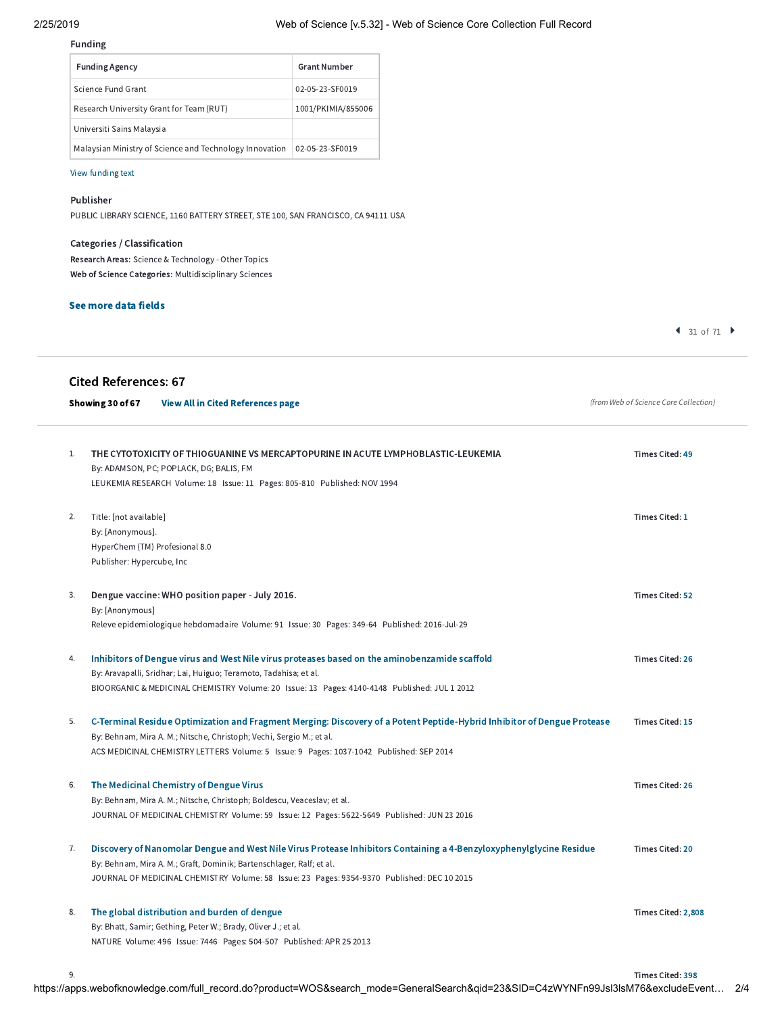### Funding

| <b>Funding Agency</b>                                   | <b>Grant Number</b> |  |  |  |
|---------------------------------------------------------|---------------------|--|--|--|
| Science Fund Grant                                      | 02-05-23-SF0019     |  |  |  |
| Research University Grant for Team (RUT)                | 1001/PKIMIA/855006  |  |  |  |
| Universiti Sains Malaysia                               |                     |  |  |  |
| Malaysian Ministry of Science and Technology Innovation | 02-05-23-SF0019     |  |  |  |

# View [funding](javascript:hide_show() text

# Publisher

PUBLIC LIBRARY SCIENCE, 1160 BATTERY STREET, STE 100, SAN FRANCISCO, CA 94111 USA

# Categories / Classification

Research Areas: Science & Technology - Other Topics Web of Science Categories: Multidisciplinary Sciences

# See more data fields

 $4$  31 of 71  $\blacktriangleright$ 

|    | <b>Cited References: 67</b><br>Showing 30 of 67<br><b>View All in Cited References page</b>                                                                                                                                                                                                | (from Web of Science Core Collection) |
|----|--------------------------------------------------------------------------------------------------------------------------------------------------------------------------------------------------------------------------------------------------------------------------------------------|---------------------------------------|
| 1. | THE CYTOTOXICITY OF THIOGUANINE VS MERCAPTOPURINE IN ACUTE LYMPHOBLASTIC-LEUKEMIA<br>By: ADAMSON, PC; POPLACK, DG; BALIS, FM<br>LEUKEMIA RESEARCH Volume: 18 Issue: 11 Pages: 805-810 Published: NOV 1994                                                                                  | Times Cited: 49                       |
| 2. | Title: [not available]<br>By: [Anonymous].<br>HyperChem (TM) Profesional 8.0<br>Publisher: Hypercube, Inc.                                                                                                                                                                                 | Times Cited: 1                        |
| 3. | Dengue vaccine: WHO position paper - July 2016.<br>By: [Anonymous]<br>Releve epidemiologique hebdomadaire Volume: 91 Issue: 30 Pages: 349-64 Published: 2016-Jul-29                                                                                                                        | Times Cited: 52                       |
| 4. | Inhibitors of Dengue virus and West Nile virus proteases based on the aminobenzamide scaffold<br>By: Aravapalli, Sridhar; Lai, Huiguo; Teramoto, Tadahisa; et al.<br>BIOORGANIC & MEDICINAL CHEMISTRY Volume: 20 Issue: 13 Pages: 4140-4148 Published: JUL 1 2012                          | <b>Times Cited: 26</b>                |
| 5. | C-Terminal Residue Optimization and Fragment Merging: Discovery of a Potent Peptide-Hybrid Inhibitor of Dengue Protease<br>By: Behnam, Mira A. M.; Nitsche, Christoph; Vechi, Sergio M.; et al.<br>ACS MEDICINAL CHEMISTRY LETTERS Volume: 5 Issue: 9 Pages: 1037-1042 Published: SEP 2014 | Times Cited: 15                       |
| 6. | The Medicinal Chemistry of Dengue Virus<br>By: Behnam, Mira A. M.; Nitsche, Christoph; Boldescu, Veaceslav; et al.<br>JOURNAL OF MEDICINAL CHEMISTRY Volume: 59 Issue: 12 Pages: 5622-5649 Published: JUN 23 2016                                                                          | <b>Times Cited: 26</b>                |
| 7. | Discovery of Nanomolar Dengue and West Nile Virus Protease Inhibitors Containing a 4-Benzyloxyphenylglycine Residue<br>By: Behnam, Mira A. M.; Graft, Dominik; Bartenschlager, Ralf; et al.<br>JOURNAL OF MEDICINAL CHEMISTRY Volume: 58 Issue: 23 Pages: 9354-9370 Published: DEC 10 2015 | Times Cited: 20                       |
| 8. | The global distribution and burden of dengue<br>By: Bhatt, Samir; Gething, Peter W.; Brady, Oliver J.; et al.<br>NATURE Volume: 496 Issue: 7446 Pages: 504-507 Published: APR 25 2013                                                                                                      | Times Cited: 2,808                    |
| 9. |                                                                                                                                                                                                                                                                                            | Times Cited: 398                      |

https://apps.webofknowledge.com/full\_record.do?product=WOS&search\_mode=GeneralSearch&qid=23&SID=C4zWYNFn99Jsl3lsM76&excludeEvent… 2/4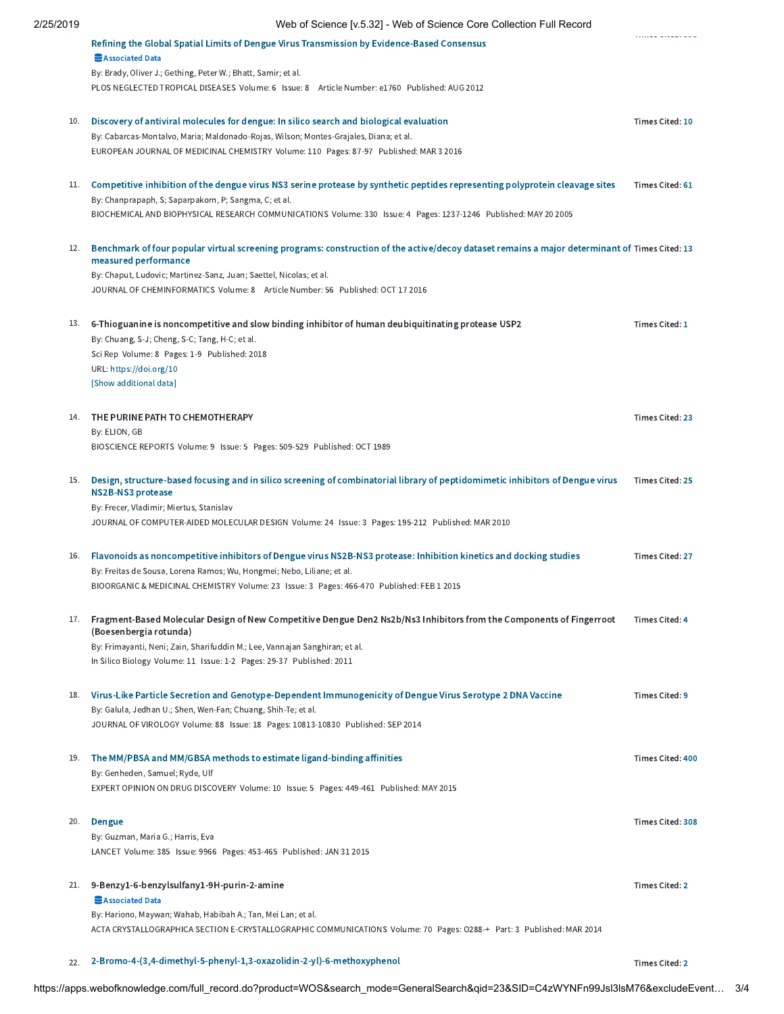| 2 ບ່ານ | And on opening [Aroroz] - Ando or opiging conditioned condition is an independent                                                                                                     |                         |
|--------|---------------------------------------------------------------------------------------------------------------------------------------------------------------------------------------|-------------------------|
|        | Refining the Global Spatial Limits of Dengue Virus Transmission by Evidence-Based Consensus<br>Associated Data                                                                        | . uu uuu. uu u          |
|        | By: Brady, Oliver J.; Gething, Peter W.; Bhatt, Samir; et al.<br>PLOS NEGLECTED TROPICAL DISEASES Volume: 6 Issue: 8 Article Number: e1760 Published: AUG 2012                        |                         |
| 10.    | Discovery of antiviral molecules for dengue: In silico search and biological evaluation                                                                                               | Times Cited: 10         |
|        | By: Cabarcas-Montalvo, Maria; Maldonado-Rojas, Wilson; Montes-Grajales, Diana; et al.<br>EUROPEAN JOURNAL OF MEDICINAL CHEMISTRY Volume: 110 Pages: 87-97 Published: MAR 3 2016       |                         |
| 11.    | Competitive inhibition of the dengue virus NS3 serine protease by synthetic peptides representing polyprotein cleavage sites<br>By: Chanprapaph, S; Saparpakorn, P; Sangma, C; et al. | Times Cited: 61         |
|        | BIOCHEMICAL AND BIOPHYSICAL RESEARCH COMMUNICATIONS Volume: 330 Issue: 4 Pages: 1237-1246 Published: MAY 20 2005                                                                      |                         |
| 12.    | Benchmark of four popular virtual screening programs: construction of the active/decoy dataset remains a major determinant of Times Cited: 13<br>measured performance                 |                         |
|        | By: Chaput, Ludovic; Martinez-Sanz, Juan; Saettel, Nicolas; et al.<br>JOURNAL OF CHEMINFORMATICS Volume: 8 Article Number: 56 Published: OCT 17 2016                                  |                         |
| 13.    | 6-Thioguanine is noncompetitive and slow binding inhibitor of human deubiquitinating protease USP2<br>By: Chuang, S-J; Cheng, S-C; Tang, H-C; et al.                                  | Times Cited: 1          |
|        | Sci Rep Volume: 8 Pages: 1-9 Published: 2018                                                                                                                                          |                         |
|        | URL: https://doi.org/10                                                                                                                                                               |                         |
|        | [Show additional data]                                                                                                                                                                |                         |
| 14.    | THE PURINE PATH TO CHEMOTHERAPY                                                                                                                                                       | Times Cited: 23         |
|        | By: ELION, GB                                                                                                                                                                         |                         |
|        | BIOSCIENCE REPORTS Volume: 9 Issue: 5 Pages: 509-529 Published: OCT 1989                                                                                                              |                         |
| 15.    | Design, structure-based focusing and in silico screening of combinatorial library of peptidomimetic inhibitors of Dengue virus<br>NS2B-NS3 protease                                   | Times Cited: 25         |
|        | By: Frecer, Vladimir; Miertus, Stanislav                                                                                                                                              |                         |
|        | JOURNAL OF COMPUTER-AIDED MOLECULAR DESIGN Volume: 24 Issue: 3 Pages: 195-212 Published: MAR 2010                                                                                     |                         |
| 16.    | Flavonoids as noncompetitive inhibitors of Dengue virus NS2B-NS3 protease: Inhibition kinetics and docking studies                                                                    | Times Cited: 27         |
|        | By: Freitas de Sousa, Lorena Ramos; Wu, Hongmei; Nebo, Liliane; et al.                                                                                                                |                         |
|        | BIOORGANIC & MEDICINAL CHEMISTRY Volume: 23 Issue: 3 Pages: 466-470 Published: FEB 1 2015                                                                                             |                         |
| 17.    | Fragment-Based Molecular Design of New Competitive Dengue Den2 Ns2b/Ns3 Inhibitors from the Components of Fingerroot<br>(Boesenbergia rotunda)                                        | <b>Times Cited: 4</b>   |
|        | By: Frimayanti, Neni; Zain, Sharifuddin M.; Lee, Vannajan Sanghiran; et al.                                                                                                           |                         |
|        | In Silico Biology Volume: 11 Issue: 1-2 Pages: 29-37 Published: 2011                                                                                                                  |                         |
| 18.    | Virus-Like Particle Secretion and Genotype-Dependent Immunogenicity of Dengue Virus Serotype 2 DNA Vaccine                                                                            | Times Cited: 9          |
|        | By: Galula, Jedhan U.; Shen, Wen-Fan; Chuang, Shih-Te; et al.<br>JOURNAL OF VIROLOGY Volume: 88 Issue: 18 Pages: 10813-10830 Published: SEP 2014                                      |                         |
| 19.    | The MM/PBSA and MM/GBSA methods to estimate ligand-binding affinities                                                                                                                 | <b>Times Cited: 400</b> |
|        | By: Genheden, Samuel; Ryde, Ulf                                                                                                                                                       |                         |
|        | EXPERT OPINION ON DRUG DISCOVERY Volume: 10 Issue: 5 Pages: 449-461 Published: MAY 2015                                                                                               |                         |
| 20.    | <b>Dengue</b>                                                                                                                                                                         | Times Cited: 308        |
|        | By: Guzman, Maria G.; Harris, Eva                                                                                                                                                     |                         |
|        | LANCET Volume: 385 Issue: 9966 Pages: 453-465 Published: JAN 31 2015                                                                                                                  |                         |
| 21.    | 9-Benzy1-6-benzylsulfany1-9H-purin-2-amine                                                                                                                                            | Times Cited: 2          |
|        | Associated Data                                                                                                                                                                       |                         |
|        | By: Hariono, Maywan; Wahab, Habibah A.; Tan, Mei Lan; et al.                                                                                                                          |                         |
|        | ACTA CRYSTALLOGRAPHICA SECTION E-CRYSTALLOGRAPHIC COMMUNICATIONS Volume: 70 Pages: O288-+ Part: 3 Published: MAR 2014                                                                 |                         |
| 22.    | 2-Bromo-4-(3,4-dimethyl-5-phenyl-1,3-oxazolidin-2-yl)-6-methoxyphenol                                                                                                                 | <b>Times Cited: 2</b>   |

https://apps.webofknowledge.com/full\_record.do?product=WOS&search\_mode=GeneralSearch&qid=23&SID=C4zWYNFn99Jsl3lsM76&excludeEvent… 3/4